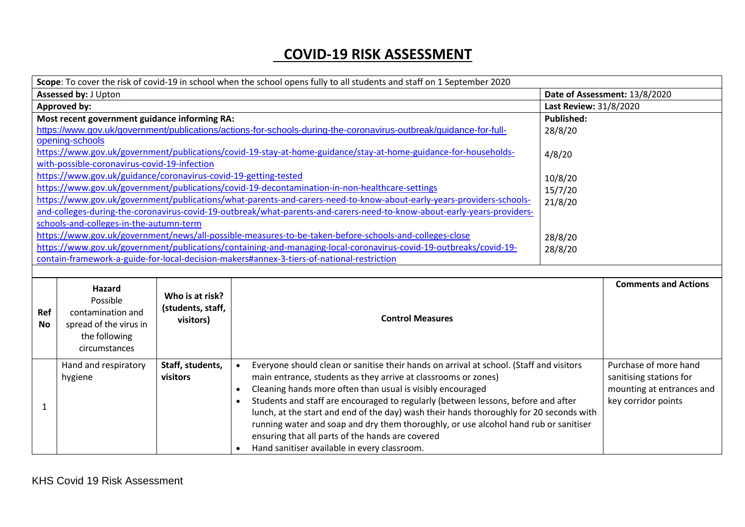## **COVID-19 RISK ASSESSMENT**

|                             | Scope: To cover the risk of covid-19 in school when the school opens fully to all students and staff on 1 September 2020 |                   |                                                                                                                         |                               |                             |
|-----------------------------|--------------------------------------------------------------------------------------------------------------------------|-------------------|-------------------------------------------------------------------------------------------------------------------------|-------------------------------|-----------------------------|
| <b>Assessed by: J Upton</b> |                                                                                                                          |                   |                                                                                                                         | Date of Assessment: 13/8/2020 |                             |
|                             | <b>Approved by:</b>                                                                                                      |                   |                                                                                                                         |                               | Last Review: 31/8/2020      |
|                             | Most recent government guidance informing RA:                                                                            |                   |                                                                                                                         | <b>Published:</b>             |                             |
|                             | https://www.gov.uk/government/publications/actions-for-schools-during-the-coronavirus-outbreak/guidance-for-full-        | 28/8/20           |                                                                                                                         |                               |                             |
|                             | opening-schools                                                                                                          |                   |                                                                                                                         |                               |                             |
|                             |                                                                                                                          |                   | https://www.gov.uk/government/publications/covid-19-stay-at-home-guidance/stay-at-home-guidance-for-households-         | 4/8/20                        |                             |
|                             | with-possible-coronavirus-covid-19-infection                                                                             |                   |                                                                                                                         |                               |                             |
|                             | https://www.gov.uk/guidance/coronavirus-covid-19-getting-tested                                                          |                   |                                                                                                                         | 10/8/20                       |                             |
|                             |                                                                                                                          |                   | https://www.gov.uk/government/publications/covid-19-decontamination-in-non-healthcare-settings                          | 15/7/20                       |                             |
|                             |                                                                                                                          |                   | https://www.gov.uk/government/publications/what-parents-and-carers-need-to-know-about-early-years-providers-schools-    | 21/8/20                       |                             |
|                             |                                                                                                                          |                   | and-colleges-during-the-coronavirus-covid-19-outbreak/what-parents-and-carers-need-to-know-about-early-years-providers- |                               |                             |
|                             | schools-and-colleges-in-the-autumn-term                                                                                  |                   |                                                                                                                         |                               |                             |
|                             |                                                                                                                          |                   | https://www.gov.uk/government/news/all-possible-measures-to-be-taken-before-schools-and-colleges-close                  | 28/8/20                       |                             |
|                             |                                                                                                                          |                   | https://www.gov.uk/government/publications/containing-and-managing-local-coronavirus-covid-19-outbreaks/covid-19-       | 28/8/20                       |                             |
|                             |                                                                                                                          |                   | contain-framework-a-guide-for-local-decision-makers#annex-3-tiers-of-national-restriction                               |                               |                             |
|                             |                                                                                                                          |                   |                                                                                                                         |                               |                             |
|                             | Hazard                                                                                                                   | Who is at risk?   |                                                                                                                         |                               | <b>Comments and Actions</b> |
|                             | Possible                                                                                                                 | (students, staff, |                                                                                                                         |                               |                             |
| Ref                         | contamination and                                                                                                        | visitors)         | <b>Control Measures</b>                                                                                                 |                               |                             |
| <b>No</b>                   | spread of the virus in                                                                                                   |                   |                                                                                                                         |                               |                             |
|                             | the following                                                                                                            |                   |                                                                                                                         |                               |                             |
|                             | circumstances                                                                                                            |                   |                                                                                                                         |                               |                             |
|                             | Hand and respiratory                                                                                                     | Staff, students,  | Everyone should clean or sanitise their hands on arrival at school. (Staff and visitors<br>$\bullet$                    |                               | Purchase of more hand       |
|                             | hygiene                                                                                                                  | visitors          | main entrance, students as they arrive at classrooms or zones)                                                          |                               | sanitising stations for     |
|                             |                                                                                                                          |                   | Cleaning hands more often than usual is visibly encouraged<br>$\bullet$                                                 |                               | mounting at entrances and   |
|                             |                                                                                                                          |                   | Students and staff are encouraged to regularly (between lessons, before and after<br>$\bullet$                          |                               | key corridor points         |
| 1                           |                                                                                                                          |                   | lunch, at the start and end of the day) wash their hands thoroughly for 20 seconds with                                 |                               |                             |
|                             |                                                                                                                          |                   | running water and soap and dry them thoroughly, or use alcohol hand rub or sanitiser                                    |                               |                             |
|                             |                                                                                                                          |                   | ensuring that all parts of the hands are covered                                                                        |                               |                             |
|                             |                                                                                                                          |                   | Hand sanitiser available in every classroom.                                                                            |                               |                             |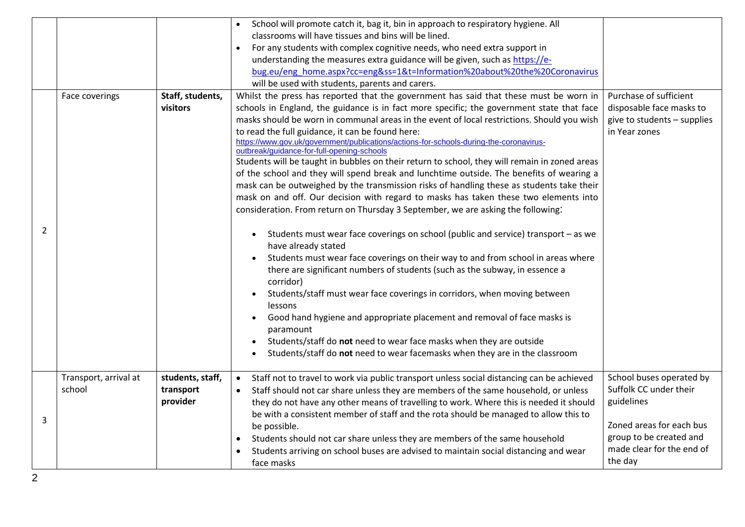|   |                                 |                                           | School will promote catch it, bag it, bin in approach to respiratory hygiene. All<br>classrooms will have tissues and bins will be lined.<br>For any students with complex cognitive needs, who need extra support in<br>$\bullet$<br>understanding the measures extra guidance will be given, such as https://e-<br>bug.eu/eng_home.aspx?cc=eng&ss=1&t=Information%20about%20the%20Coronavirus<br>will be used with students, parents and carers.                                                                                                                                                                                                                                                                                                                                                                                                                                                                                                                                                                                                                                                                                                                                                                                                                                                                                                                                                                                                                                                                                                                                                                                   |                                                                                                                                                                 |
|---|---------------------------------|-------------------------------------------|--------------------------------------------------------------------------------------------------------------------------------------------------------------------------------------------------------------------------------------------------------------------------------------------------------------------------------------------------------------------------------------------------------------------------------------------------------------------------------------------------------------------------------------------------------------------------------------------------------------------------------------------------------------------------------------------------------------------------------------------------------------------------------------------------------------------------------------------------------------------------------------------------------------------------------------------------------------------------------------------------------------------------------------------------------------------------------------------------------------------------------------------------------------------------------------------------------------------------------------------------------------------------------------------------------------------------------------------------------------------------------------------------------------------------------------------------------------------------------------------------------------------------------------------------------------------------------------------------------------------------------------|-----------------------------------------------------------------------------------------------------------------------------------------------------------------|
| 2 | Face coverings                  | Staff, students,<br>visitors              | Whilst the press has reported that the government has said that these must be worn in<br>schools in England, the guidance is in fact more specific; the government state that face<br>masks should be worn in communal areas in the event of local restrictions. Should you wish<br>to read the full guidance, it can be found here:<br>https://www.gov.uk/government/publications/actions-for-schools-during-the-coronavirus-<br>outbreak/guidance-for-full-opening-schools<br>Students will be taught in bubbles on their return to school, they will remain in zoned areas<br>of the school and they will spend break and lunchtime outside. The benefits of wearing a<br>mask can be outweighed by the transmission risks of handling these as students take their<br>mask on and off. Our decision with regard to masks has taken these two elements into<br>consideration. From return on Thursday 3 September, we are asking the following:<br>Students must wear face coverings on school (public and service) transport - as we<br>have already stated<br>Students must wear face coverings on their way to and from school in areas where<br>there are significant numbers of students (such as the subway, in essence a<br>corridor)<br>Students/staff must wear face coverings in corridors, when moving between<br><b>lessons</b><br>Good hand hygiene and appropriate placement and removal of face masks is<br>$\bullet$<br>paramount<br>Students/staff do not need to wear face masks when they are outside<br>$\bullet$<br>Students/staff do not need to wear facemasks when they are in the classroom<br>$\bullet$ | Purchase of sufficient<br>disposable face masks to<br>give to students - supplies<br>in Year zones                                                              |
| 3 | Transport, arrival at<br>school | students, staff,<br>transport<br>provider | Staff not to travel to work via public transport unless social distancing can be achieved<br>$\bullet$<br>Staff should not car share unless they are members of the same household, or unless<br>$\bullet$<br>they do not have any other means of travelling to work. Where this is needed it should<br>be with a consistent member of staff and the rota should be managed to allow this to<br>be possible.<br>Students should not car share unless they are members of the same household<br>Students arriving on school buses are advised to maintain social distancing and wear<br>face masks                                                                                                                                                                                                                                                                                                                                                                                                                                                                                                                                                                                                                                                                                                                                                                                                                                                                                                                                                                                                                                    | School buses operated by<br>Suffolk CC under their<br>guidelines<br>Zoned areas for each bus<br>group to be created and<br>made clear for the end of<br>the day |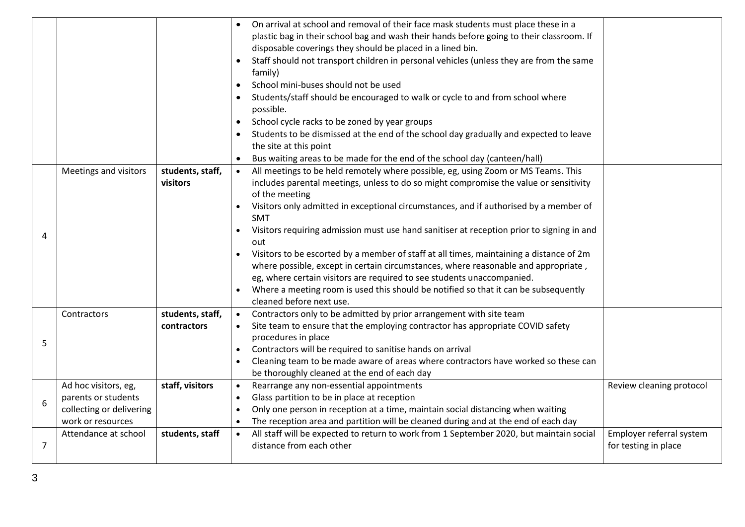|                |                                                                                              |                                 | On arrival at school and removal of their face mask students must place these in a<br>plastic bag in their school bag and wash their hands before going to their classroom. If<br>disposable coverings they should be placed in a lined bin.<br>Staff should not transport children in personal vehicles (unless they are from the same<br>$\bullet$<br>family)<br>School mini-buses should not be used<br>$\bullet$<br>Students/staff should be encouraged to walk or cycle to and from school where<br>possible.<br>School cycle racks to be zoned by year groups<br>Students to be dismissed at the end of the school day gradually and expected to leave<br>the site at this point<br>Bus waiting areas to be made for the end of the school day (canteen/hall)                                |                                                  |
|----------------|----------------------------------------------------------------------------------------------|---------------------------------|----------------------------------------------------------------------------------------------------------------------------------------------------------------------------------------------------------------------------------------------------------------------------------------------------------------------------------------------------------------------------------------------------------------------------------------------------------------------------------------------------------------------------------------------------------------------------------------------------------------------------------------------------------------------------------------------------------------------------------------------------------------------------------------------------|--------------------------------------------------|
| 4              | Meetings and visitors                                                                        | students, staff,<br>visitors    | All meetings to be held remotely where possible, eg, using Zoom or MS Teams. This<br>$\bullet$<br>includes parental meetings, unless to do so might compromise the value or sensitivity<br>of the meeting<br>Visitors only admitted in exceptional circumstances, and if authorised by a member of<br><b>SMT</b><br>Visitors requiring admission must use hand sanitiser at reception prior to signing in and<br>out<br>Visitors to be escorted by a member of staff at all times, maintaining a distance of 2m<br>where possible, except in certain circumstances, where reasonable and appropriate,<br>eg, where certain visitors are required to see students unaccompanied.<br>Where a meeting room is used this should be notified so that it can be subsequently<br>cleaned before next use. |                                                  |
| 5              | Contractors                                                                                  | students, staff,<br>contractors | Contractors only to be admitted by prior arrangement with site team<br>$\bullet$<br>Site team to ensure that the employing contractor has appropriate COVID safety<br>procedures in place<br>Contractors will be required to sanitise hands on arrival<br>Cleaning team to be made aware of areas where contractors have worked so these can<br>be thoroughly cleaned at the end of each day                                                                                                                                                                                                                                                                                                                                                                                                       |                                                  |
| 6              | Ad hoc visitors, eg,<br>parents or students<br>collecting or delivering<br>work or resources | staff, visitors                 | Rearrange any non-essential appointments<br>$\bullet$<br>Glass partition to be in place at reception<br>$\bullet$<br>Only one person in reception at a time, maintain social distancing when waiting<br>$\bullet$<br>The reception area and partition will be cleaned during and at the end of each day                                                                                                                                                                                                                                                                                                                                                                                                                                                                                            | Review cleaning protocol                         |
| $\overline{7}$ | Attendance at school                                                                         | students, staff                 | All staff will be expected to return to work from 1 September 2020, but maintain social<br>$\bullet$<br>distance from each other                                                                                                                                                                                                                                                                                                                                                                                                                                                                                                                                                                                                                                                                   | Employer referral system<br>for testing in place |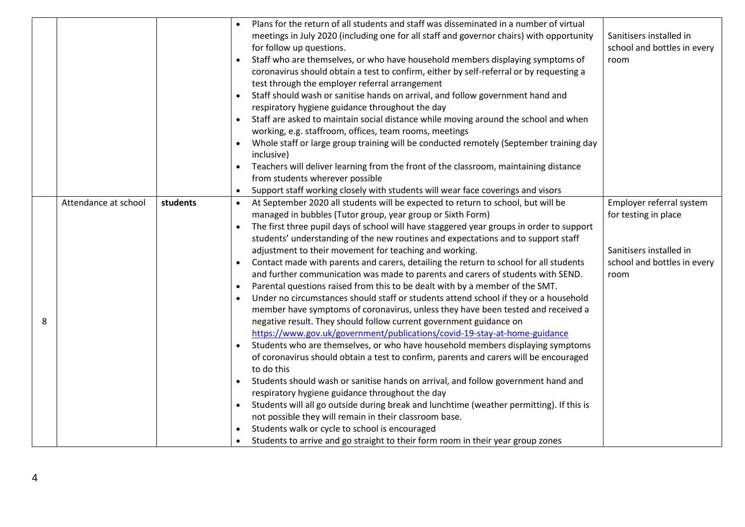|   |                                                 |          | Plans for the return of all students and staff was disseminated in a number of virtual                |                             |
|---|-------------------------------------------------|----------|-------------------------------------------------------------------------------------------------------|-----------------------------|
|   |                                                 |          | meetings in July 2020 (including one for all staff and governor chairs) with opportunity              | Sanitisers installed in     |
|   |                                                 |          | for follow up questions.                                                                              | school and bottles in every |
|   |                                                 |          | Staff who are themselves, or who have household members displaying symptoms of<br>$\bullet$           | room                        |
|   |                                                 |          | coronavirus should obtain a test to confirm, either by self-referral or by requesting a               |                             |
|   |                                                 |          | test through the employer referral arrangement                                                        |                             |
|   |                                                 |          | Staff should wash or sanitise hands on arrival, and follow government hand and<br>$\bullet$           |                             |
|   | respiratory hygiene guidance throughout the day |          |                                                                                                       |                             |
|   |                                                 |          | Staff are asked to maintain social distance while moving around the school and when                   |                             |
|   |                                                 |          | working, e.g. staffroom, offices, team rooms, meetings                                                |                             |
|   |                                                 |          | Whole staff or large group training will be conducted remotely (September training day                |                             |
|   |                                                 |          | inclusive)                                                                                            |                             |
|   |                                                 |          | Teachers will deliver learning from the front of the classroom, maintaining distance                  |                             |
|   |                                                 |          | from students wherever possible                                                                       |                             |
|   |                                                 |          | Support staff working closely with students will wear face coverings and visors                       |                             |
|   | Attendance at school                            | students | At September 2020 all students will be expected to return to school, but will be<br>$\bullet$         | Employer referral system    |
|   |                                                 |          | managed in bubbles (Tutor group, year group or Sixth Form)                                            | for testing in place        |
|   |                                                 |          | The first three pupil days of school will have staggered year groups in order to support              |                             |
|   |                                                 |          | students' understanding of the new routines and expectations and to support staff                     |                             |
|   |                                                 |          | adjustment to their movement for teaching and working.                                                | Sanitisers installed in     |
|   |                                                 |          | Contact made with parents and carers, detailing the return to school for all students                 | school and bottles in every |
|   |                                                 |          | and further communication was made to parents and carers of students with SEND.                       | room                        |
|   |                                                 |          | Parental questions raised from this to be dealt with by a member of the SMT.                          |                             |
|   |                                                 |          | Under no circumstances should staff or students attend school if they or a household<br>$\bullet$     |                             |
|   |                                                 |          | member have symptoms of coronavirus, unless they have been tested and received a                      |                             |
| 8 |                                                 |          | negative result. They should follow current government guidance on                                    |                             |
|   |                                                 |          | https://www.gov.uk/government/publications/covid-19-stay-at-home-guidance                             |                             |
|   |                                                 |          | Students who are themselves, or who have household members displaying symptoms                        |                             |
|   |                                                 |          | of coronavirus should obtain a test to confirm, parents and carers will be encouraged                 |                             |
|   |                                                 |          | to do this                                                                                            |                             |
|   |                                                 |          | Students should wash or sanitise hands on arrival, and follow government hand and                     |                             |
|   |                                                 |          | respiratory hygiene guidance throughout the day                                                       |                             |
|   |                                                 |          | Students will all go outside during break and lunchtime (weather permitting). If this is<br>$\bullet$ |                             |
|   |                                                 |          | not possible they will remain in their classroom base.                                                |                             |
|   |                                                 |          | Students walk or cycle to school is encouraged                                                        |                             |
|   |                                                 |          | Students to arrive and go straight to their form room in their year group zones                       |                             |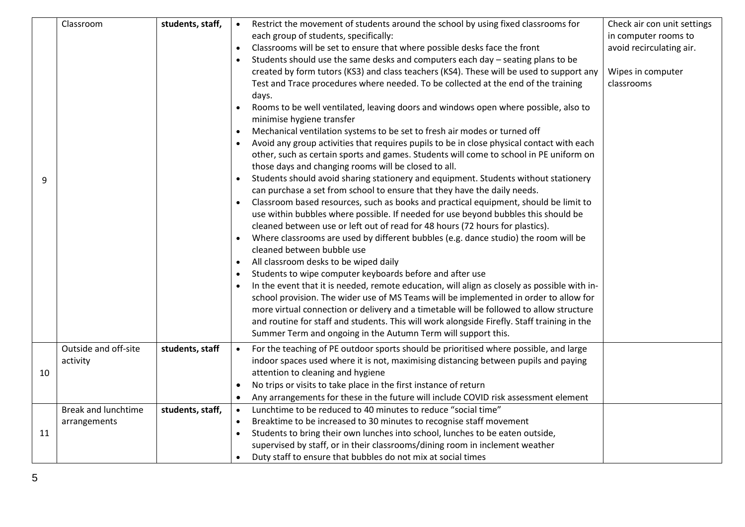| 9  | Classroom                                  | students, staff, | Restrict the movement of students around the school by using fixed classrooms for<br>$\bullet$<br>each group of students, specifically:<br>Classrooms will be set to ensure that where possible desks face the front<br>Students should use the same desks and computers each day - seating plans to be<br>created by form tutors (KS3) and class teachers (KS4). These will be used to support any<br>Test and Trace procedures where needed. To be collected at the end of the training<br>days.<br>Rooms to be well ventilated, leaving doors and windows open where possible, also to<br>minimise hygiene transfer<br>Mechanical ventilation systems to be set to fresh air modes or turned off<br>Avoid any group activities that requires pupils to be in close physical contact with each<br>other, such as certain sports and games. Students will come to school in PE uniform on<br>those days and changing rooms will be closed to all.<br>Students should avoid sharing stationery and equipment. Students without stationery<br>can purchase a set from school to ensure that they have the daily needs.<br>Classroom based resources, such as books and practical equipment, should be limit to<br>use within bubbles where possible. If needed for use beyond bubbles this should be<br>cleaned between use or left out of read for 48 hours (72 hours for plastics).<br>Where classrooms are used by different bubbles (e.g. dance studio) the room will be<br>cleaned between bubble use<br>All classroom desks to be wiped daily<br>Students to wipe computer keyboards before and after use<br>In the event that it is needed, remote education, will align as closely as possible with in-<br>school provision. The wider use of MS Teams will be implemented in order to allow for<br>more virtual connection or delivery and a timetable will be followed to allow structure<br>and routine for staff and students. This will work alongside Firefly. Staff training in the<br>Summer Term and ongoing in the Autumn Term will support this. | Check air con unit settings<br>in computer rooms to<br>avoid recirculating air.<br>Wipes in computer<br>classrooms |
|----|--------------------------------------------|------------------|--------------------------------------------------------------------------------------------------------------------------------------------------------------------------------------------------------------------------------------------------------------------------------------------------------------------------------------------------------------------------------------------------------------------------------------------------------------------------------------------------------------------------------------------------------------------------------------------------------------------------------------------------------------------------------------------------------------------------------------------------------------------------------------------------------------------------------------------------------------------------------------------------------------------------------------------------------------------------------------------------------------------------------------------------------------------------------------------------------------------------------------------------------------------------------------------------------------------------------------------------------------------------------------------------------------------------------------------------------------------------------------------------------------------------------------------------------------------------------------------------------------------------------------------------------------------------------------------------------------------------------------------------------------------------------------------------------------------------------------------------------------------------------------------------------------------------------------------------------------------------------------------------------------------------------------------------------------------------------------------------------------------------------------------------------------------|--------------------------------------------------------------------------------------------------------------------|
|    | Outside and off-site<br>activity           | students, staff  | For the teaching of PE outdoor sports should be prioritised where possible, and large<br>$\bullet$<br>indoor spaces used where it is not, maximising distancing between pupils and paying                                                                                                                                                                                                                                                                                                                                                                                                                                                                                                                                                                                                                                                                                                                                                                                                                                                                                                                                                                                                                                                                                                                                                                                                                                                                                                                                                                                                                                                                                                                                                                                                                                                                                                                                                                                                                                                                          |                                                                                                                    |
| 10 |                                            |                  | attention to cleaning and hygiene<br>No trips or visits to take place in the first instance of return<br>Any arrangements for these in the future will include COVID risk assessment element                                                                                                                                                                                                                                                                                                                                                                                                                                                                                                                                                                                                                                                                                                                                                                                                                                                                                                                                                                                                                                                                                                                                                                                                                                                                                                                                                                                                                                                                                                                                                                                                                                                                                                                                                                                                                                                                       |                                                                                                                    |
| 11 | <b>Break and lunchtime</b><br>arrangements | students, staff, | Lunchtime to be reduced to 40 minutes to reduce "social time"<br>Breaktime to be increased to 30 minutes to recognise staff movement<br>Students to bring their own lunches into school, lunches to be eaten outside,<br>supervised by staff, or in their classrooms/dining room in inclement weather<br>Duty staff to ensure that bubbles do not mix at social times                                                                                                                                                                                                                                                                                                                                                                                                                                                                                                                                                                                                                                                                                                                                                                                                                                                                                                                                                                                                                                                                                                                                                                                                                                                                                                                                                                                                                                                                                                                                                                                                                                                                                              |                                                                                                                    |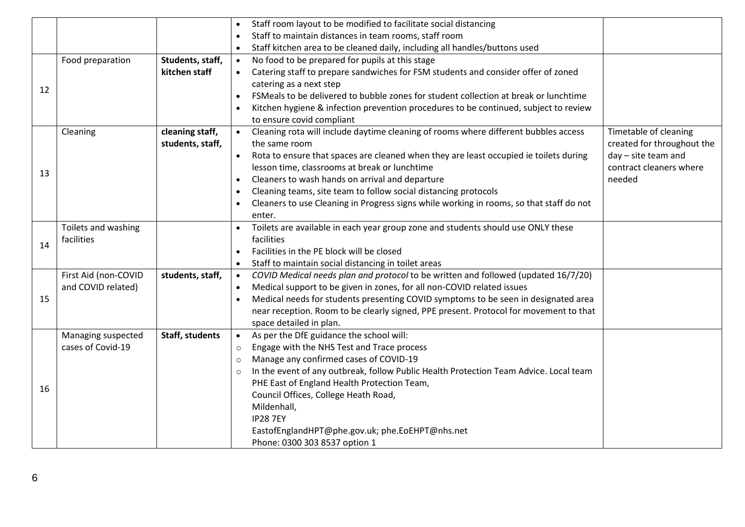|    |                      |                  | Staff room layout to be modified to facilitate social distancing                                   |                            |
|----|----------------------|------------------|----------------------------------------------------------------------------------------------------|----------------------------|
|    |                      |                  | Staff to maintain distances in team rooms, staff room<br>$\bullet$                                 |                            |
|    |                      |                  | Staff kitchen area to be cleaned daily, including all handles/buttons used<br>$\bullet$            |                            |
|    | Food preparation     | Students, staff, | No food to be prepared for pupils at this stage<br>$\bullet$                                       |                            |
|    |                      | kitchen staff    | Catering staff to prepare sandwiches for FSM students and consider offer of zoned<br>$\bullet$     |                            |
|    |                      |                  | catering as a next step                                                                            |                            |
| 12 |                      |                  | FSMeals to be delivered to bubble zones for student collection at break or lunchtime<br>$\bullet$  |                            |
|    |                      |                  | Kitchen hygiene & infection prevention procedures to be continued, subject to review               |                            |
|    |                      |                  | to ensure covid compliant                                                                          |                            |
|    | Cleaning             | cleaning staff,  | Cleaning rota will include daytime cleaning of rooms where different bubbles access<br>$\bullet$   | Timetable of cleaning      |
|    |                      | students, staff, | the same room                                                                                      | created for throughout the |
|    |                      |                  | Rota to ensure that spaces are cleaned when they are least occupied ie toilets during<br>$\bullet$ | day - site team and        |
| 13 |                      |                  | lesson time, classrooms at break or lunchtime                                                      | contract cleaners where    |
|    |                      |                  | Cleaners to wash hands on arrival and departure<br>$\bullet$                                       | needed                     |
|    |                      |                  | Cleaning teams, site team to follow social distancing protocols<br>$\bullet$                       |                            |
|    |                      |                  | Cleaners to use Cleaning in Progress signs while working in rooms, so that staff do not            |                            |
|    |                      |                  | enter.                                                                                             |                            |
|    | Toilets and washing  |                  | Toilets are available in each year group zone and students should use ONLY these                   |                            |
| 14 | facilities           |                  | facilities                                                                                         |                            |
|    |                      |                  | Facilities in the PE block will be closed<br>$\bullet$                                             |                            |
|    |                      |                  | Staff to maintain social distancing in toilet areas<br>$\bullet$                                   |                            |
|    | First Aid (non-COVID | students, staff, | COVID Medical needs plan and protocol to be written and followed (updated 16/7/20)<br>$\bullet$    |                            |
|    | and COVID related)   |                  | Medical support to be given in zones, for all non-COVID related issues                             |                            |
| 15 |                      |                  | Medical needs for students presenting COVID symptoms to be seen in designated area<br>$\bullet$    |                            |
|    |                      |                  | near reception. Room to be clearly signed, PPE present. Protocol for movement to that              |                            |
|    |                      |                  | space detailed in plan.                                                                            |                            |
|    | Managing suspected   | Staff, students  | As per the DfE guidance the school will:<br>$\bullet$                                              |                            |
|    | cases of Covid-19    |                  | Engage with the NHS Test and Trace process<br>$\circ$                                              |                            |
|    |                      |                  | Manage any confirmed cases of COVID-19<br>$\circ$                                                  |                            |
|    |                      |                  | In the event of any outbreak, follow Public Health Protection Team Advice. Local team<br>$\circ$   |                            |
| 16 |                      |                  | PHE East of England Health Protection Team,                                                        |                            |
|    |                      |                  | Council Offices, College Heath Road,                                                               |                            |
|    |                      |                  | Mildenhall,                                                                                        |                            |
|    |                      |                  | <b>IP28 7EY</b>                                                                                    |                            |
|    |                      |                  | EastofEnglandHPT@phe.gov.uk; phe.EoEHPT@nhs.net                                                    |                            |
|    |                      |                  | Phone: 0300 303 8537 option 1                                                                      |                            |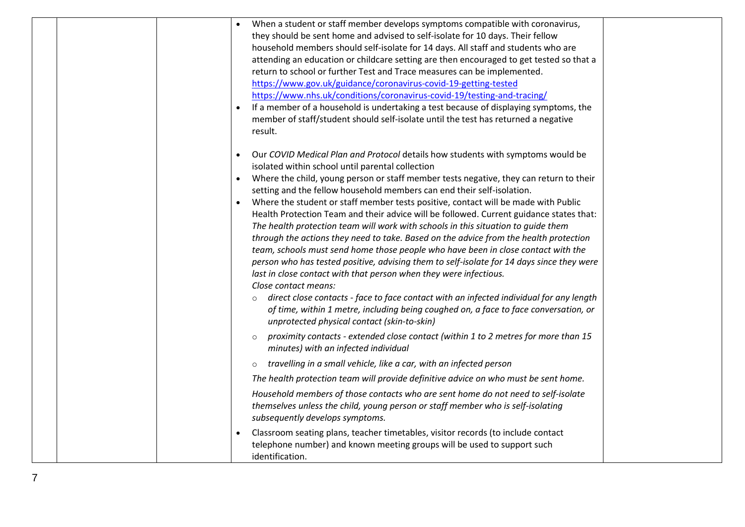|  | When a student or staff member develops symptoms compatible with coronavirus,                       |  |
|--|-----------------------------------------------------------------------------------------------------|--|
|  | they should be sent home and advised to self-isolate for 10 days. Their fellow                      |  |
|  | household members should self-isolate for 14 days. All staff and students who are                   |  |
|  | attending an education or childcare setting are then encouraged to get tested so that a             |  |
|  | return to school or further Test and Trace measures can be implemented.                             |  |
|  | https://www.gov.uk/guidance/coronavirus-covid-19-getting-tested                                     |  |
|  | https://www.nhs.uk/conditions/coronavirus-covid-19/testing-and-tracing/                             |  |
|  | If a member of a household is undertaking a test because of displaying symptoms, the                |  |
|  | member of staff/student should self-isolate until the test has returned a negative                  |  |
|  | result.                                                                                             |  |
|  |                                                                                                     |  |
|  | Our COVID Medical Plan and Protocol details how students with symptoms would be                     |  |
|  | isolated within school until parental collection                                                    |  |
|  | Where the child, young person or staff member tests negative, they can return to their<br>$\bullet$ |  |
|  | setting and the fellow household members can end their self-isolation.                              |  |
|  | Where the student or staff member tests positive, contact will be made with Public                  |  |
|  | Health Protection Team and their advice will be followed. Current guidance states that:             |  |
|  | The health protection team will work with schools in this situation to guide them                   |  |
|  | through the actions they need to take. Based on the advice from the health protection               |  |
|  | team, schools must send home those people who have been in close contact with the                   |  |
|  | person who has tested positive, advising them to self-isolate for 14 days since they were           |  |
|  | last in close contact with that person when they were infectious.<br>Close contact means:           |  |
|  | direct close contacts - face to face contact with an infected individual for any length             |  |
|  | $\circ$<br>of time, within 1 metre, including being coughed on, a face to face conversation, or     |  |
|  | unprotected physical contact (skin-to-skin)                                                         |  |
|  |                                                                                                     |  |
|  | proximity contacts - extended close contact (within 1 to 2 metres for more than 15<br>$\circ$       |  |
|  | minutes) with an infected individual                                                                |  |
|  | travelling in a small vehicle, like a car, with an infected person<br>$\circ$                       |  |
|  | The health protection team will provide definitive advice on who must be sent home.                 |  |
|  | Household members of those contacts who are sent home do not need to self-isolate                   |  |
|  | themselves unless the child, young person or staff member who is self-isolating                     |  |
|  | subsequently develops symptoms.                                                                     |  |
|  | Classroom seating plans, teacher timetables, visitor records (to include contact                    |  |
|  | telephone number) and known meeting groups will be used to support such                             |  |
|  | identification.                                                                                     |  |
|  |                                                                                                     |  |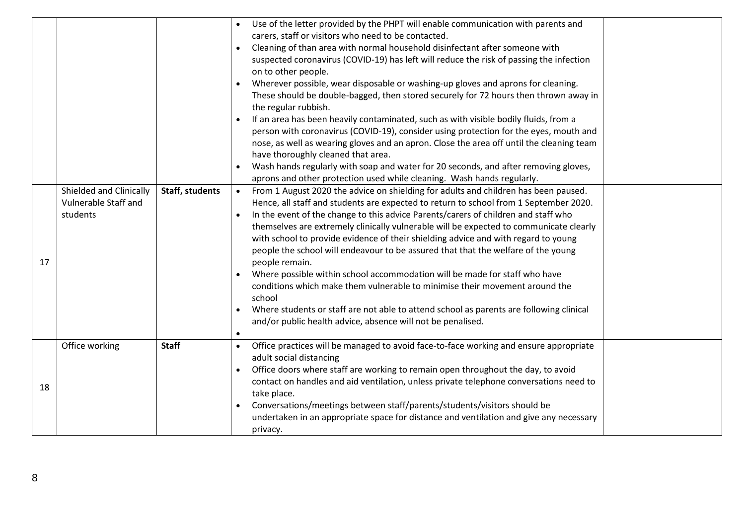|    |                         |                 | Use of the letter provided by the PHPT will enable communication with parents and                  |  |
|----|-------------------------|-----------------|----------------------------------------------------------------------------------------------------|--|
|    |                         |                 | carers, staff or visitors who need to be contacted.                                                |  |
|    |                         |                 | Cleaning of than area with normal household disinfectant after someone with<br>$\bullet$           |  |
|    |                         |                 | suspected coronavirus (COVID-19) has left will reduce the risk of passing the infection            |  |
|    |                         |                 | on to other people.                                                                                |  |
|    |                         |                 | Wherever possible, wear disposable or washing-up gloves and aprons for cleaning.                   |  |
|    |                         |                 | These should be double-bagged, then stored securely for 72 hours then thrown away in               |  |
|    |                         |                 | the regular rubbish.                                                                               |  |
|    |                         |                 | If an area has been heavily contaminated, such as with visible bodily fluids, from a<br>$\bullet$  |  |
|    |                         |                 | person with coronavirus (COVID-19), consider using protection for the eyes, mouth and              |  |
|    |                         |                 | nose, as well as wearing gloves and an apron. Close the area off until the cleaning team           |  |
|    |                         |                 | have thoroughly cleaned that area.                                                                 |  |
|    |                         |                 | Wash hands regularly with soap and water for 20 seconds, and after removing gloves,                |  |
|    |                         |                 | aprons and other protection used while cleaning. Wash hands regularly.                             |  |
|    | Shielded and Clinically | Staff, students | From 1 August 2020 the advice on shielding for adults and children has been paused.<br>$\bullet$   |  |
|    | Vulnerable Staff and    |                 | Hence, all staff and students are expected to return to school from 1 September 2020.              |  |
|    | students                |                 | In the event of the change to this advice Parents/carers of children and staff who<br>$\bullet$    |  |
|    |                         |                 | themselves are extremely clinically vulnerable will be expected to communicate clearly             |  |
|    |                         |                 | with school to provide evidence of their shielding advice and with regard to young                 |  |
|    |                         |                 | people the school will endeavour to be assured that that the welfare of the young                  |  |
| 17 |                         |                 | people remain.                                                                                     |  |
|    |                         |                 | Where possible within school accommodation will be made for staff who have                         |  |
|    |                         |                 | conditions which make them vulnerable to minimise their movement around the                        |  |
|    |                         |                 | school                                                                                             |  |
|    |                         |                 | Where students or staff are not able to attend school as parents are following clinical            |  |
|    |                         |                 | and/or public health advice, absence will not be penalised.                                        |  |
|    |                         |                 |                                                                                                    |  |
|    | Office working          | <b>Staff</b>    | Office practices will be managed to avoid face-to-face working and ensure appropriate<br>$\bullet$ |  |
|    |                         |                 | adult social distancing                                                                            |  |
|    |                         |                 | Office doors where staff are working to remain open throughout the day, to avoid                   |  |
| 18 |                         |                 | contact on handles and aid ventilation, unless private telephone conversations need to             |  |
|    |                         |                 | take place.                                                                                        |  |
|    |                         |                 | Conversations/meetings between staff/parents/students/visitors should be<br>$\bullet$              |  |
|    |                         |                 | undertaken in an appropriate space for distance and ventilation and give any necessary             |  |
|    |                         |                 | privacy.                                                                                           |  |